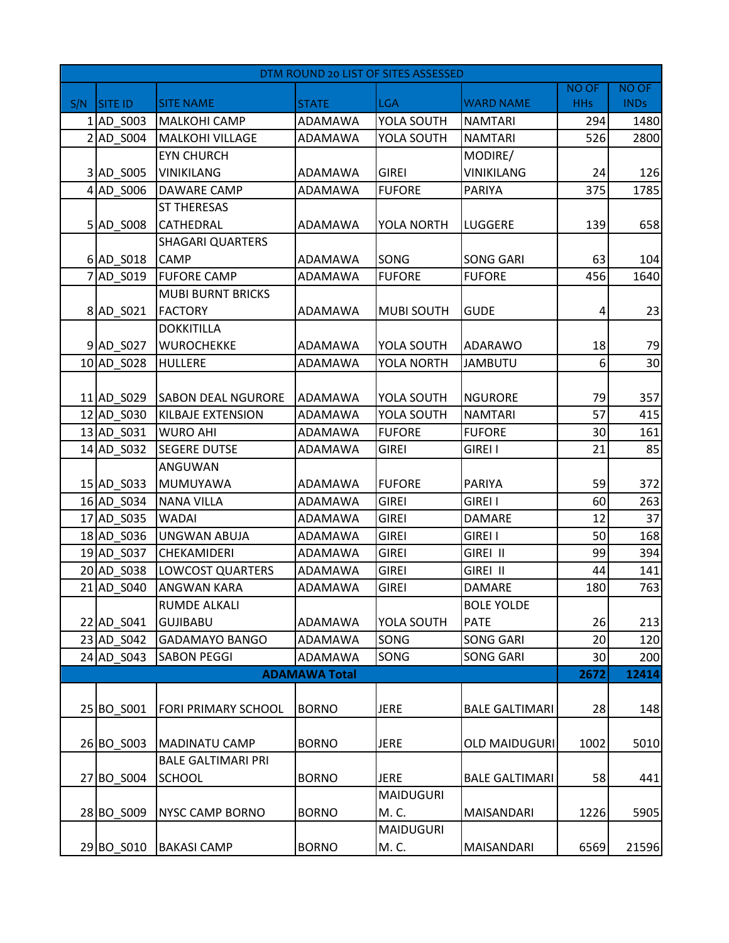|     | DTM ROUND 20 LIST OF SITES ASSESSED |                            |                      |                   |                       |              |             |  |  |
|-----|-------------------------------------|----------------------------|----------------------|-------------------|-----------------------|--------------|-------------|--|--|
|     |                                     |                            |                      |                   |                       | <b>NO OF</b> | NO OF       |  |  |
| S/N | SITE ID                             | <b>SITE NAME</b>           | <b>STATE</b>         | <b>LGA</b>        | <b>WARD NAME</b>      | <b>HHs</b>   | <b>INDs</b> |  |  |
|     | $1$ AD S003                         | <b>MALKOHI CAMP</b>        | ADAMAWA              | YOLA SOUTH        | <b>NAMTARI</b>        | 294          | 1480        |  |  |
|     | $2$ AD S004                         | MALKOHI VILLAGE            | ADAMAWA              | YOLA SOUTH        | <b>NAMTARI</b>        | 526          | 2800        |  |  |
|     |                                     | <b>EYN CHURCH</b>          |                      |                   | MODIRE/               |              |             |  |  |
|     | 3 AD S005                           | <b>VINIKILANG</b>          | ADAMAWA              | <b>GIREI</b>      | <b>VINIKILANG</b>     | 24           | 126         |  |  |
|     | $4$ AD_S006                         | <b>DAWARE CAMP</b>         | ADAMAWA              | <b>FUFORE</b>     | <b>PARIYA</b>         | 375          | 1785        |  |  |
|     |                                     | <b>ST THERESAS</b>         |                      |                   |                       |              |             |  |  |
|     | $5$ AD_S008                         | <b>CATHEDRAL</b>           | ADAMAWA              | YOLA NORTH        | LUGGERE               | 139          | 658         |  |  |
|     |                                     | <b>SHAGARI QUARTERS</b>    |                      |                   |                       |              |             |  |  |
|     | $6$ AD_S018                         | <b>CAMP</b>                | ADAMAWA              | SONG              | <b>SONG GARI</b>      | 63           | 104         |  |  |
|     | $7$ AD S019                         | <b>FUFORE CAMP</b>         | ADAMAWA              | <b>FUFORE</b>     | <b>FUFORE</b>         | 456          | 1640        |  |  |
|     |                                     | <b>MUBI BURNT BRICKS</b>   |                      |                   |                       |              |             |  |  |
|     | 8AD_S021                            | <b>FACTORY</b>             | <b>ADAMAWA</b>       | <b>MUBI SOUTH</b> | <b>GUDE</b>           | 4            | 23          |  |  |
|     |                                     | <b>DOKKITILLA</b>          |                      |                   |                       |              |             |  |  |
|     | $9$ AD_S027                         | <b>WUROCHEKKE</b>          | ADAMAWA              | YOLA SOUTH        | <b>ADARAWO</b>        | 18           | 79          |  |  |
|     | 10 AD S028                          | <b>HULLERE</b>             | <b>ADAMAWA</b>       | YOLA NORTH        | <b>JAMBUTU</b>        | 6            | 30          |  |  |
|     |                                     |                            |                      |                   |                       |              |             |  |  |
|     | 11 AD_S029                          | <b>SABON DEAL NGURORE</b>  | ADAMAWA              | YOLA SOUTH        | <b>NGURORE</b>        | 79           | 357         |  |  |
|     | 12 AD S030                          | <b>KILBAJE EXTENSION</b>   | ADAMAWA              | YOLA SOUTH        | <b>NAMTARI</b>        | 57           | 415         |  |  |
|     | 13 AD_S031                          | <b>WURO AHI</b>            | ADAMAWA              | <b>FUFORE</b>     | <b>FUFORE</b>         | 30           | 161         |  |  |
|     | 14 AD S032                          | <b>SEGERE DUTSE</b>        | ADAMAWA              | <b>GIREI</b>      | GIREI I               | 21           | 85          |  |  |
|     |                                     | ANGUWAN                    |                      |                   |                       |              |             |  |  |
|     | 15 AD_S033                          | MUMUYAWA                   | ADAMAWA              | <b>FUFORE</b>     | <b>PARIYA</b>         | 59           | 372         |  |  |
|     | 16 AD S034                          | <b>NANA VILLA</b>          | ADAMAWA              | <b>GIREI</b>      | <b>GIREI I</b>        | 60           | 263         |  |  |
|     | 17 AD_S035                          | <b>WADAI</b>               | ADAMAWA              | <b>GIREI</b>      | <b>DAMARE</b>         | 12           | 37          |  |  |
|     | 18 AD_S036                          | <b>UNGWAN ABUJA</b>        | ADAMAWA              | <b>GIREI</b>      | GIREI I               | 50           | 168         |  |  |
|     | 19 AD S037                          | CHEKAMIDERI                | <b>ADAMAWA</b>       | <b>GIREI</b>      | GIREI II              | 99           | 394         |  |  |
|     | 20 AD_S038                          | LOWCOST QUARTERS           | ADAMAWA              | <b>GIREI</b>      | GIREI II              | 44           | 141         |  |  |
|     | 21 AD S040                          | <b>ANGWAN KARA</b>         | ADAMAWA              | <b>GIREI</b>      | <b>DAMARE</b>         | 180          | 763         |  |  |
|     |                                     | <b>RUMDE ALKALI</b>        |                      |                   | <b>BOLE YOLDE</b>     |              |             |  |  |
|     | 22 AD S041                          | <b>GUJIBABU</b>            | ADAMAWA              | YOLA SOUTH        | <b>PATE</b>           | 26           | 213         |  |  |
|     | 23 AD S042                          | <b>GADAMAYO BANGO</b>      | ADAMAWA              | SONG              | <b>SONG GARI</b>      | 20           | 120         |  |  |
|     | 24 AD S043                          | <b>SABON PEGGI</b>         | ADAMAWA              | SONG              | <b>SONG GARI</b>      | 30           | 200         |  |  |
|     |                                     |                            | <b>ADAMAWA Total</b> |                   |                       | 2672         | 12414       |  |  |
|     |                                     |                            |                      |                   |                       |              |             |  |  |
|     | 25 BO S001                          | <b>FORI PRIMARY SCHOOL</b> | <b>BORNO</b>         | <b>JERE</b>       | <b>BALE GALTIMARI</b> | 28           | 148         |  |  |
|     |                                     |                            |                      |                   |                       |              |             |  |  |
|     | 26 BO S003                          | <b>MADINATU CAMP</b>       | <b>BORNO</b>         | <b>JERE</b>       | <b>OLD MAIDUGURI</b>  | 1002         | 5010        |  |  |
|     |                                     | <b>BALE GALTIMARI PRI</b>  |                      |                   |                       |              |             |  |  |
|     | 27 BO S004                          | <b>SCHOOL</b>              | <b>BORNO</b>         | <b>JERE</b>       | <b>BALE GALTIMARI</b> | 58           | 441         |  |  |
|     |                                     |                            |                      | <b>MAIDUGURI</b>  |                       |              |             |  |  |
|     | 28 BO S009                          | <b>NYSC CAMP BORNO</b>     | <b>BORNO</b>         | M. C.             | MAISANDARI            | 1226         | 5905        |  |  |
|     |                                     |                            |                      | <b>MAIDUGURI</b>  |                       |              |             |  |  |
|     | 29 BO_S010                          | <b>BAKASI CAMP</b>         | <b>BORNO</b>         | M. C.             | MAISANDARI            | 6569         | 21596       |  |  |
|     |                                     |                            |                      |                   |                       |              |             |  |  |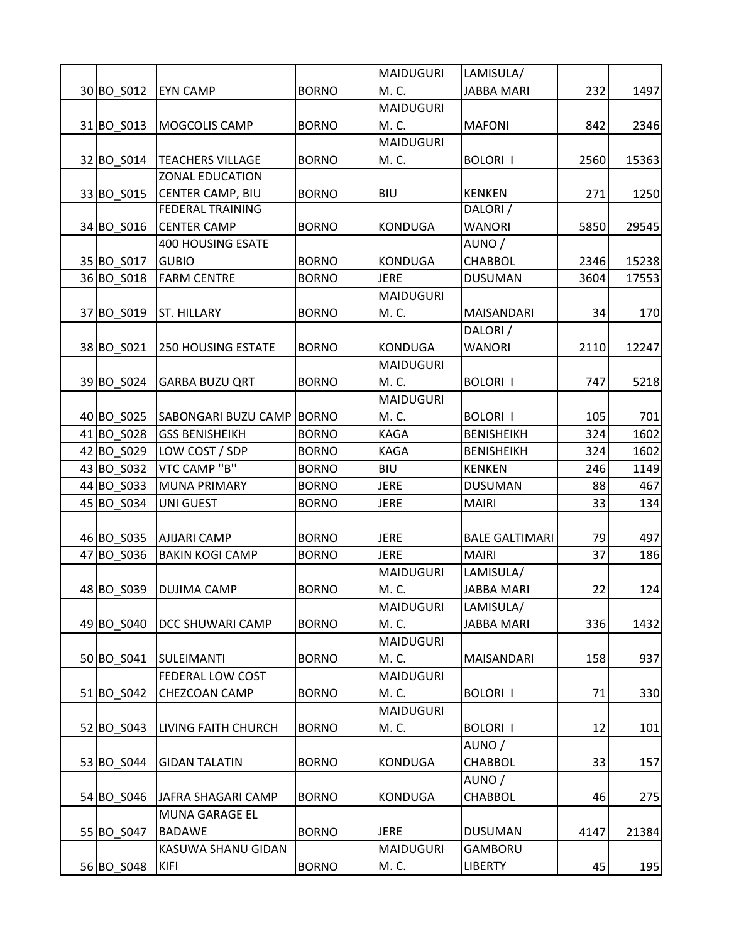| 30 BO_S012<br><b>JABBA MARI</b><br><b>BORNO</b><br>M. C.<br>232<br>1497<br><b>EYN CAMP</b><br><b>MAIDUGURI</b><br>M. C.<br><b>MAFONI</b><br>31 BO_S013<br>MOGCOLIS CAMP<br><b>BORNO</b><br>842<br>2346<br><b>MAIDUGURI</b><br>32 BO_S014<br><b>TEACHERS VILLAGE</b><br><b>BORNO</b><br>M. C.<br><b>BOLORI I</b><br>2560<br>15363<br><b>ZONAL EDUCATION</b><br><b>CENTER CAMP, BIU</b><br>33 BO_S015<br><b>BIU</b><br><b>KENKEN</b><br><b>BORNO</b><br>1250<br>271<br><b>FEDERAL TRAINING</b><br>DALORI/<br>34 BO_S016<br><b>CENTER CAMP</b><br><b>BORNO</b><br><b>WANORI</b><br>5850<br><b>KONDUGA</b><br>29545<br><b>400 HOUSING ESATE</b><br>AUNO/<br>35 BO_S017<br><b>GUBIO</b><br><b>KONDUGA</b><br><b>CHABBOL</b><br><b>BORNO</b><br>2346<br>15238<br>36 BO_S018<br><b>FARM CENTRE</b><br><b>BORNO</b><br><b>JERE</b><br><b>DUSUMAN</b><br>3604<br>17553<br><b>MAIDUGURI</b><br>37 BO_S019<br><b>ST. HILLARY</b><br>M. C.<br>MAISANDARI<br><b>BORNO</b><br>34<br>170<br>DALORI/<br>38 BO_S021<br><b>WANORI</b><br><b>BORNO</b><br><b>KONDUGA</b><br>2110<br>12247<br><b>250 HOUSING ESTATE</b><br><b>MAIDUGURI</b><br>M. C.<br><b>BOLORI I</b><br>39 BO_S024<br><b>GARBA BUZU QRT</b><br><b>BORNO</b><br>747<br>5218<br><b>MAIDUGURI</b><br>40 BO S025<br><b>SABONGARI BUZU CAMP</b><br>M. C.<br><b>BOLORI I</b><br>BORNO<br>105<br>701<br>41 BO S028<br>1602<br><b>GSS BENISHEIKH</b><br><b>BORNO</b><br><b>KAGA</b><br><b>BENISHEIKH</b><br>324<br>42 BO S029<br>LOW COST / SDP<br><b>KAGA</b><br><b>BENISHEIKH</b><br><b>BORNO</b><br>324<br>1602<br>VTC CAMP "B"<br>43 BO_S032<br><b>BIU</b><br><b>BORNO</b><br><b>KENKEN</b><br>1149<br>246<br>44 BO S033<br>88<br>467<br><b>MUNA PRIMARY</b><br><b>JERE</b><br><b>DUSUMAN</b><br><b>BORNO</b><br>45 BO_S034<br>33<br>UNI GUEST<br><b>BORNO</b><br><b>JERE</b><br><b>MAIRI</b><br>134<br>46 BO_S035<br><b>JERE</b><br>79<br><b>AJIJARI CAMP</b><br><b>BORNO</b><br><b>BALE GALTIMARI</b><br>497<br>47 BO S036<br><b>JERE</b><br><b>MAIRI</b><br>37<br><b>BAKIN KOGI CAMP</b><br><b>BORNO</b><br>186<br><b>MAIDUGURI</b><br>LAMISULA/<br><b>JABBA MARI</b><br>22<br>48 BO S039 DUJIMA CAMP<br><b>BORNO</b><br>M. C.<br>LAMISULA/<br><b>MAIDUGURI</b><br>49 BO S040<br>M. C.<br><b>JABBA MARI</b><br>336<br>1432<br><b>DCC SHUWARI CAMP</b><br><b>BORNO</b><br><b>MAIDUGURI</b><br>50 BO S041<br><b>SULEIMANTI</b><br><b>BORNO</b><br>M. C.<br>MAISANDARI<br>158<br>937<br><b>FEDERAL LOW COST</b><br><b>MAIDUGURI</b><br>51 BO_S042<br>M. C.<br><b>CHEZCOAN CAMP</b><br><b>BORNO</b><br><b>BOLORI I</b><br>71<br><b>MAIDUGURI</b><br>52 BO S043<br><b>LIVING FAITH CHURCH</b><br><b>BORNO</b><br>M. C.<br><b>BOLORI I</b><br>12<br>101<br>AUNO/<br><b>CHABBOL</b><br><b>KONDUGA</b><br>53 BO_S044<br><b>GIDAN TALATIN</b><br>33<br><b>BORNO</b><br>157<br>AUNO/<br>54 BO S046<br><b>CHABBOL</b><br>275<br>JAFRA SHAGARI CAMP<br><b>BORNO</b><br><b>KONDUGA</b><br>46<br><b>MUNA GARAGE EL</b><br>55 BO_S047<br><b>BADAWE</b><br><b>BORNO</b><br><b>JERE</b><br><b>DUSUMAN</b><br>4147<br>21384<br><b>MAIDUGURI</b><br>KASUWA SHANU GIDAN<br><b>GAMBORU</b><br><b>LIBERTY</b><br>56 BO_S048<br><b>BORNO</b><br>M. C.<br>KIFI<br>45 |  |  | <b>MAIDUGURI</b> | LAMISULA/ |     |
|--------------------------------------------------------------------------------------------------------------------------------------------------------------------------------------------------------------------------------------------------------------------------------------------------------------------------------------------------------------------------------------------------------------------------------------------------------------------------------------------------------------------------------------------------------------------------------------------------------------------------------------------------------------------------------------------------------------------------------------------------------------------------------------------------------------------------------------------------------------------------------------------------------------------------------------------------------------------------------------------------------------------------------------------------------------------------------------------------------------------------------------------------------------------------------------------------------------------------------------------------------------------------------------------------------------------------------------------------------------------------------------------------------------------------------------------------------------------------------------------------------------------------------------------------------------------------------------------------------------------------------------------------------------------------------------------------------------------------------------------------------------------------------------------------------------------------------------------------------------------------------------------------------------------------------------------------------------------------------------------------------------------------------------------------------------------------------------------------------------------------------------------------------------------------------------------------------------------------------------------------------------------------------------------------------------------------------------------------------------------------------------------------------------------------------------------------------------------------------------------------------------------------------------------------------------------------------------------------------------------------------------------------------------------------------------------------------------------------------------------------------------------------------------------------------------------------------------------------------------------------------------------------------------------------------------------------------------------------------------------------------------------------------------------------------------------------------------------------------------------------------------------------------------------------------------------|--|--|------------------|-----------|-----|
|                                                                                                                                                                                                                                                                                                                                                                                                                                                                                                                                                                                                                                                                                                                                                                                                                                                                                                                                                                                                                                                                                                                                                                                                                                                                                                                                                                                                                                                                                                                                                                                                                                                                                                                                                                                                                                                                                                                                                                                                                                                                                                                                                                                                                                                                                                                                                                                                                                                                                                                                                                                                                                                                                                                                                                                                                                                                                                                                                                                                                                                                                                                                                                                            |  |  |                  |           |     |
|                                                                                                                                                                                                                                                                                                                                                                                                                                                                                                                                                                                                                                                                                                                                                                                                                                                                                                                                                                                                                                                                                                                                                                                                                                                                                                                                                                                                                                                                                                                                                                                                                                                                                                                                                                                                                                                                                                                                                                                                                                                                                                                                                                                                                                                                                                                                                                                                                                                                                                                                                                                                                                                                                                                                                                                                                                                                                                                                                                                                                                                                                                                                                                                            |  |  |                  |           |     |
|                                                                                                                                                                                                                                                                                                                                                                                                                                                                                                                                                                                                                                                                                                                                                                                                                                                                                                                                                                                                                                                                                                                                                                                                                                                                                                                                                                                                                                                                                                                                                                                                                                                                                                                                                                                                                                                                                                                                                                                                                                                                                                                                                                                                                                                                                                                                                                                                                                                                                                                                                                                                                                                                                                                                                                                                                                                                                                                                                                                                                                                                                                                                                                                            |  |  |                  |           |     |
|                                                                                                                                                                                                                                                                                                                                                                                                                                                                                                                                                                                                                                                                                                                                                                                                                                                                                                                                                                                                                                                                                                                                                                                                                                                                                                                                                                                                                                                                                                                                                                                                                                                                                                                                                                                                                                                                                                                                                                                                                                                                                                                                                                                                                                                                                                                                                                                                                                                                                                                                                                                                                                                                                                                                                                                                                                                                                                                                                                                                                                                                                                                                                                                            |  |  |                  |           |     |
|                                                                                                                                                                                                                                                                                                                                                                                                                                                                                                                                                                                                                                                                                                                                                                                                                                                                                                                                                                                                                                                                                                                                                                                                                                                                                                                                                                                                                                                                                                                                                                                                                                                                                                                                                                                                                                                                                                                                                                                                                                                                                                                                                                                                                                                                                                                                                                                                                                                                                                                                                                                                                                                                                                                                                                                                                                                                                                                                                                                                                                                                                                                                                                                            |  |  |                  |           |     |
|                                                                                                                                                                                                                                                                                                                                                                                                                                                                                                                                                                                                                                                                                                                                                                                                                                                                                                                                                                                                                                                                                                                                                                                                                                                                                                                                                                                                                                                                                                                                                                                                                                                                                                                                                                                                                                                                                                                                                                                                                                                                                                                                                                                                                                                                                                                                                                                                                                                                                                                                                                                                                                                                                                                                                                                                                                                                                                                                                                                                                                                                                                                                                                                            |  |  |                  |           |     |
|                                                                                                                                                                                                                                                                                                                                                                                                                                                                                                                                                                                                                                                                                                                                                                                                                                                                                                                                                                                                                                                                                                                                                                                                                                                                                                                                                                                                                                                                                                                                                                                                                                                                                                                                                                                                                                                                                                                                                                                                                                                                                                                                                                                                                                                                                                                                                                                                                                                                                                                                                                                                                                                                                                                                                                                                                                                                                                                                                                                                                                                                                                                                                                                            |  |  |                  |           |     |
|                                                                                                                                                                                                                                                                                                                                                                                                                                                                                                                                                                                                                                                                                                                                                                                                                                                                                                                                                                                                                                                                                                                                                                                                                                                                                                                                                                                                                                                                                                                                                                                                                                                                                                                                                                                                                                                                                                                                                                                                                                                                                                                                                                                                                                                                                                                                                                                                                                                                                                                                                                                                                                                                                                                                                                                                                                                                                                                                                                                                                                                                                                                                                                                            |  |  |                  |           |     |
|                                                                                                                                                                                                                                                                                                                                                                                                                                                                                                                                                                                                                                                                                                                                                                                                                                                                                                                                                                                                                                                                                                                                                                                                                                                                                                                                                                                                                                                                                                                                                                                                                                                                                                                                                                                                                                                                                                                                                                                                                                                                                                                                                                                                                                                                                                                                                                                                                                                                                                                                                                                                                                                                                                                                                                                                                                                                                                                                                                                                                                                                                                                                                                                            |  |  |                  |           |     |
|                                                                                                                                                                                                                                                                                                                                                                                                                                                                                                                                                                                                                                                                                                                                                                                                                                                                                                                                                                                                                                                                                                                                                                                                                                                                                                                                                                                                                                                                                                                                                                                                                                                                                                                                                                                                                                                                                                                                                                                                                                                                                                                                                                                                                                                                                                                                                                                                                                                                                                                                                                                                                                                                                                                                                                                                                                                                                                                                                                                                                                                                                                                                                                                            |  |  |                  |           |     |
|                                                                                                                                                                                                                                                                                                                                                                                                                                                                                                                                                                                                                                                                                                                                                                                                                                                                                                                                                                                                                                                                                                                                                                                                                                                                                                                                                                                                                                                                                                                                                                                                                                                                                                                                                                                                                                                                                                                                                                                                                                                                                                                                                                                                                                                                                                                                                                                                                                                                                                                                                                                                                                                                                                                                                                                                                                                                                                                                                                                                                                                                                                                                                                                            |  |  |                  |           |     |
|                                                                                                                                                                                                                                                                                                                                                                                                                                                                                                                                                                                                                                                                                                                                                                                                                                                                                                                                                                                                                                                                                                                                                                                                                                                                                                                                                                                                                                                                                                                                                                                                                                                                                                                                                                                                                                                                                                                                                                                                                                                                                                                                                                                                                                                                                                                                                                                                                                                                                                                                                                                                                                                                                                                                                                                                                                                                                                                                                                                                                                                                                                                                                                                            |  |  |                  |           |     |
|                                                                                                                                                                                                                                                                                                                                                                                                                                                                                                                                                                                                                                                                                                                                                                                                                                                                                                                                                                                                                                                                                                                                                                                                                                                                                                                                                                                                                                                                                                                                                                                                                                                                                                                                                                                                                                                                                                                                                                                                                                                                                                                                                                                                                                                                                                                                                                                                                                                                                                                                                                                                                                                                                                                                                                                                                                                                                                                                                                                                                                                                                                                                                                                            |  |  |                  |           |     |
|                                                                                                                                                                                                                                                                                                                                                                                                                                                                                                                                                                                                                                                                                                                                                                                                                                                                                                                                                                                                                                                                                                                                                                                                                                                                                                                                                                                                                                                                                                                                                                                                                                                                                                                                                                                                                                                                                                                                                                                                                                                                                                                                                                                                                                                                                                                                                                                                                                                                                                                                                                                                                                                                                                                                                                                                                                                                                                                                                                                                                                                                                                                                                                                            |  |  |                  |           |     |
|                                                                                                                                                                                                                                                                                                                                                                                                                                                                                                                                                                                                                                                                                                                                                                                                                                                                                                                                                                                                                                                                                                                                                                                                                                                                                                                                                                                                                                                                                                                                                                                                                                                                                                                                                                                                                                                                                                                                                                                                                                                                                                                                                                                                                                                                                                                                                                                                                                                                                                                                                                                                                                                                                                                                                                                                                                                                                                                                                                                                                                                                                                                                                                                            |  |  |                  |           |     |
|                                                                                                                                                                                                                                                                                                                                                                                                                                                                                                                                                                                                                                                                                                                                                                                                                                                                                                                                                                                                                                                                                                                                                                                                                                                                                                                                                                                                                                                                                                                                                                                                                                                                                                                                                                                                                                                                                                                                                                                                                                                                                                                                                                                                                                                                                                                                                                                                                                                                                                                                                                                                                                                                                                                                                                                                                                                                                                                                                                                                                                                                                                                                                                                            |  |  |                  |           |     |
|                                                                                                                                                                                                                                                                                                                                                                                                                                                                                                                                                                                                                                                                                                                                                                                                                                                                                                                                                                                                                                                                                                                                                                                                                                                                                                                                                                                                                                                                                                                                                                                                                                                                                                                                                                                                                                                                                                                                                                                                                                                                                                                                                                                                                                                                                                                                                                                                                                                                                                                                                                                                                                                                                                                                                                                                                                                                                                                                                                                                                                                                                                                                                                                            |  |  |                  |           |     |
|                                                                                                                                                                                                                                                                                                                                                                                                                                                                                                                                                                                                                                                                                                                                                                                                                                                                                                                                                                                                                                                                                                                                                                                                                                                                                                                                                                                                                                                                                                                                                                                                                                                                                                                                                                                                                                                                                                                                                                                                                                                                                                                                                                                                                                                                                                                                                                                                                                                                                                                                                                                                                                                                                                                                                                                                                                                                                                                                                                                                                                                                                                                                                                                            |  |  |                  |           |     |
|                                                                                                                                                                                                                                                                                                                                                                                                                                                                                                                                                                                                                                                                                                                                                                                                                                                                                                                                                                                                                                                                                                                                                                                                                                                                                                                                                                                                                                                                                                                                                                                                                                                                                                                                                                                                                                                                                                                                                                                                                                                                                                                                                                                                                                                                                                                                                                                                                                                                                                                                                                                                                                                                                                                                                                                                                                                                                                                                                                                                                                                                                                                                                                                            |  |  |                  |           |     |
|                                                                                                                                                                                                                                                                                                                                                                                                                                                                                                                                                                                                                                                                                                                                                                                                                                                                                                                                                                                                                                                                                                                                                                                                                                                                                                                                                                                                                                                                                                                                                                                                                                                                                                                                                                                                                                                                                                                                                                                                                                                                                                                                                                                                                                                                                                                                                                                                                                                                                                                                                                                                                                                                                                                                                                                                                                                                                                                                                                                                                                                                                                                                                                                            |  |  |                  |           |     |
|                                                                                                                                                                                                                                                                                                                                                                                                                                                                                                                                                                                                                                                                                                                                                                                                                                                                                                                                                                                                                                                                                                                                                                                                                                                                                                                                                                                                                                                                                                                                                                                                                                                                                                                                                                                                                                                                                                                                                                                                                                                                                                                                                                                                                                                                                                                                                                                                                                                                                                                                                                                                                                                                                                                                                                                                                                                                                                                                                                                                                                                                                                                                                                                            |  |  |                  |           |     |
|                                                                                                                                                                                                                                                                                                                                                                                                                                                                                                                                                                                                                                                                                                                                                                                                                                                                                                                                                                                                                                                                                                                                                                                                                                                                                                                                                                                                                                                                                                                                                                                                                                                                                                                                                                                                                                                                                                                                                                                                                                                                                                                                                                                                                                                                                                                                                                                                                                                                                                                                                                                                                                                                                                                                                                                                                                                                                                                                                                                                                                                                                                                                                                                            |  |  |                  |           |     |
|                                                                                                                                                                                                                                                                                                                                                                                                                                                                                                                                                                                                                                                                                                                                                                                                                                                                                                                                                                                                                                                                                                                                                                                                                                                                                                                                                                                                                                                                                                                                                                                                                                                                                                                                                                                                                                                                                                                                                                                                                                                                                                                                                                                                                                                                                                                                                                                                                                                                                                                                                                                                                                                                                                                                                                                                                                                                                                                                                                                                                                                                                                                                                                                            |  |  |                  |           |     |
|                                                                                                                                                                                                                                                                                                                                                                                                                                                                                                                                                                                                                                                                                                                                                                                                                                                                                                                                                                                                                                                                                                                                                                                                                                                                                                                                                                                                                                                                                                                                                                                                                                                                                                                                                                                                                                                                                                                                                                                                                                                                                                                                                                                                                                                                                                                                                                                                                                                                                                                                                                                                                                                                                                                                                                                                                                                                                                                                                                                                                                                                                                                                                                                            |  |  |                  |           |     |
|                                                                                                                                                                                                                                                                                                                                                                                                                                                                                                                                                                                                                                                                                                                                                                                                                                                                                                                                                                                                                                                                                                                                                                                                                                                                                                                                                                                                                                                                                                                                                                                                                                                                                                                                                                                                                                                                                                                                                                                                                                                                                                                                                                                                                                                                                                                                                                                                                                                                                                                                                                                                                                                                                                                                                                                                                                                                                                                                                                                                                                                                                                                                                                                            |  |  |                  |           |     |
|                                                                                                                                                                                                                                                                                                                                                                                                                                                                                                                                                                                                                                                                                                                                                                                                                                                                                                                                                                                                                                                                                                                                                                                                                                                                                                                                                                                                                                                                                                                                                                                                                                                                                                                                                                                                                                                                                                                                                                                                                                                                                                                                                                                                                                                                                                                                                                                                                                                                                                                                                                                                                                                                                                                                                                                                                                                                                                                                                                                                                                                                                                                                                                                            |  |  |                  |           |     |
|                                                                                                                                                                                                                                                                                                                                                                                                                                                                                                                                                                                                                                                                                                                                                                                                                                                                                                                                                                                                                                                                                                                                                                                                                                                                                                                                                                                                                                                                                                                                                                                                                                                                                                                                                                                                                                                                                                                                                                                                                                                                                                                                                                                                                                                                                                                                                                                                                                                                                                                                                                                                                                                                                                                                                                                                                                                                                                                                                                                                                                                                                                                                                                                            |  |  |                  |           |     |
|                                                                                                                                                                                                                                                                                                                                                                                                                                                                                                                                                                                                                                                                                                                                                                                                                                                                                                                                                                                                                                                                                                                                                                                                                                                                                                                                                                                                                                                                                                                                                                                                                                                                                                                                                                                                                                                                                                                                                                                                                                                                                                                                                                                                                                                                                                                                                                                                                                                                                                                                                                                                                                                                                                                                                                                                                                                                                                                                                                                                                                                                                                                                                                                            |  |  |                  |           |     |
|                                                                                                                                                                                                                                                                                                                                                                                                                                                                                                                                                                                                                                                                                                                                                                                                                                                                                                                                                                                                                                                                                                                                                                                                                                                                                                                                                                                                                                                                                                                                                                                                                                                                                                                                                                                                                                                                                                                                                                                                                                                                                                                                                                                                                                                                                                                                                                                                                                                                                                                                                                                                                                                                                                                                                                                                                                                                                                                                                                                                                                                                                                                                                                                            |  |  |                  |           |     |
|                                                                                                                                                                                                                                                                                                                                                                                                                                                                                                                                                                                                                                                                                                                                                                                                                                                                                                                                                                                                                                                                                                                                                                                                                                                                                                                                                                                                                                                                                                                                                                                                                                                                                                                                                                                                                                                                                                                                                                                                                                                                                                                                                                                                                                                                                                                                                                                                                                                                                                                                                                                                                                                                                                                                                                                                                                                                                                                                                                                                                                                                                                                                                                                            |  |  |                  |           | 124 |
|                                                                                                                                                                                                                                                                                                                                                                                                                                                                                                                                                                                                                                                                                                                                                                                                                                                                                                                                                                                                                                                                                                                                                                                                                                                                                                                                                                                                                                                                                                                                                                                                                                                                                                                                                                                                                                                                                                                                                                                                                                                                                                                                                                                                                                                                                                                                                                                                                                                                                                                                                                                                                                                                                                                                                                                                                                                                                                                                                                                                                                                                                                                                                                                            |  |  |                  |           |     |
|                                                                                                                                                                                                                                                                                                                                                                                                                                                                                                                                                                                                                                                                                                                                                                                                                                                                                                                                                                                                                                                                                                                                                                                                                                                                                                                                                                                                                                                                                                                                                                                                                                                                                                                                                                                                                                                                                                                                                                                                                                                                                                                                                                                                                                                                                                                                                                                                                                                                                                                                                                                                                                                                                                                                                                                                                                                                                                                                                                                                                                                                                                                                                                                            |  |  |                  |           |     |
|                                                                                                                                                                                                                                                                                                                                                                                                                                                                                                                                                                                                                                                                                                                                                                                                                                                                                                                                                                                                                                                                                                                                                                                                                                                                                                                                                                                                                                                                                                                                                                                                                                                                                                                                                                                                                                                                                                                                                                                                                                                                                                                                                                                                                                                                                                                                                                                                                                                                                                                                                                                                                                                                                                                                                                                                                                                                                                                                                                                                                                                                                                                                                                                            |  |  |                  |           |     |
|                                                                                                                                                                                                                                                                                                                                                                                                                                                                                                                                                                                                                                                                                                                                                                                                                                                                                                                                                                                                                                                                                                                                                                                                                                                                                                                                                                                                                                                                                                                                                                                                                                                                                                                                                                                                                                                                                                                                                                                                                                                                                                                                                                                                                                                                                                                                                                                                                                                                                                                                                                                                                                                                                                                                                                                                                                                                                                                                                                                                                                                                                                                                                                                            |  |  |                  |           |     |
|                                                                                                                                                                                                                                                                                                                                                                                                                                                                                                                                                                                                                                                                                                                                                                                                                                                                                                                                                                                                                                                                                                                                                                                                                                                                                                                                                                                                                                                                                                                                                                                                                                                                                                                                                                                                                                                                                                                                                                                                                                                                                                                                                                                                                                                                                                                                                                                                                                                                                                                                                                                                                                                                                                                                                                                                                                                                                                                                                                                                                                                                                                                                                                                            |  |  |                  |           |     |
|                                                                                                                                                                                                                                                                                                                                                                                                                                                                                                                                                                                                                                                                                                                                                                                                                                                                                                                                                                                                                                                                                                                                                                                                                                                                                                                                                                                                                                                                                                                                                                                                                                                                                                                                                                                                                                                                                                                                                                                                                                                                                                                                                                                                                                                                                                                                                                                                                                                                                                                                                                                                                                                                                                                                                                                                                                                                                                                                                                                                                                                                                                                                                                                            |  |  |                  |           | 330 |
|                                                                                                                                                                                                                                                                                                                                                                                                                                                                                                                                                                                                                                                                                                                                                                                                                                                                                                                                                                                                                                                                                                                                                                                                                                                                                                                                                                                                                                                                                                                                                                                                                                                                                                                                                                                                                                                                                                                                                                                                                                                                                                                                                                                                                                                                                                                                                                                                                                                                                                                                                                                                                                                                                                                                                                                                                                                                                                                                                                                                                                                                                                                                                                                            |  |  |                  |           |     |
|                                                                                                                                                                                                                                                                                                                                                                                                                                                                                                                                                                                                                                                                                                                                                                                                                                                                                                                                                                                                                                                                                                                                                                                                                                                                                                                                                                                                                                                                                                                                                                                                                                                                                                                                                                                                                                                                                                                                                                                                                                                                                                                                                                                                                                                                                                                                                                                                                                                                                                                                                                                                                                                                                                                                                                                                                                                                                                                                                                                                                                                                                                                                                                                            |  |  |                  |           |     |
|                                                                                                                                                                                                                                                                                                                                                                                                                                                                                                                                                                                                                                                                                                                                                                                                                                                                                                                                                                                                                                                                                                                                                                                                                                                                                                                                                                                                                                                                                                                                                                                                                                                                                                                                                                                                                                                                                                                                                                                                                                                                                                                                                                                                                                                                                                                                                                                                                                                                                                                                                                                                                                                                                                                                                                                                                                                                                                                                                                                                                                                                                                                                                                                            |  |  |                  |           |     |
|                                                                                                                                                                                                                                                                                                                                                                                                                                                                                                                                                                                                                                                                                                                                                                                                                                                                                                                                                                                                                                                                                                                                                                                                                                                                                                                                                                                                                                                                                                                                                                                                                                                                                                                                                                                                                                                                                                                                                                                                                                                                                                                                                                                                                                                                                                                                                                                                                                                                                                                                                                                                                                                                                                                                                                                                                                                                                                                                                                                                                                                                                                                                                                                            |  |  |                  |           |     |
|                                                                                                                                                                                                                                                                                                                                                                                                                                                                                                                                                                                                                                                                                                                                                                                                                                                                                                                                                                                                                                                                                                                                                                                                                                                                                                                                                                                                                                                                                                                                                                                                                                                                                                                                                                                                                                                                                                                                                                                                                                                                                                                                                                                                                                                                                                                                                                                                                                                                                                                                                                                                                                                                                                                                                                                                                                                                                                                                                                                                                                                                                                                                                                                            |  |  |                  |           |     |
|                                                                                                                                                                                                                                                                                                                                                                                                                                                                                                                                                                                                                                                                                                                                                                                                                                                                                                                                                                                                                                                                                                                                                                                                                                                                                                                                                                                                                                                                                                                                                                                                                                                                                                                                                                                                                                                                                                                                                                                                                                                                                                                                                                                                                                                                                                                                                                                                                                                                                                                                                                                                                                                                                                                                                                                                                                                                                                                                                                                                                                                                                                                                                                                            |  |  |                  |           |     |
|                                                                                                                                                                                                                                                                                                                                                                                                                                                                                                                                                                                                                                                                                                                                                                                                                                                                                                                                                                                                                                                                                                                                                                                                                                                                                                                                                                                                                                                                                                                                                                                                                                                                                                                                                                                                                                                                                                                                                                                                                                                                                                                                                                                                                                                                                                                                                                                                                                                                                                                                                                                                                                                                                                                                                                                                                                                                                                                                                                                                                                                                                                                                                                                            |  |  |                  |           |     |
|                                                                                                                                                                                                                                                                                                                                                                                                                                                                                                                                                                                                                                                                                                                                                                                                                                                                                                                                                                                                                                                                                                                                                                                                                                                                                                                                                                                                                                                                                                                                                                                                                                                                                                                                                                                                                                                                                                                                                                                                                                                                                                                                                                                                                                                                                                                                                                                                                                                                                                                                                                                                                                                                                                                                                                                                                                                                                                                                                                                                                                                                                                                                                                                            |  |  |                  |           |     |
|                                                                                                                                                                                                                                                                                                                                                                                                                                                                                                                                                                                                                                                                                                                                                                                                                                                                                                                                                                                                                                                                                                                                                                                                                                                                                                                                                                                                                                                                                                                                                                                                                                                                                                                                                                                                                                                                                                                                                                                                                                                                                                                                                                                                                                                                                                                                                                                                                                                                                                                                                                                                                                                                                                                                                                                                                                                                                                                                                                                                                                                                                                                                                                                            |  |  |                  |           |     |
|                                                                                                                                                                                                                                                                                                                                                                                                                                                                                                                                                                                                                                                                                                                                                                                                                                                                                                                                                                                                                                                                                                                                                                                                                                                                                                                                                                                                                                                                                                                                                                                                                                                                                                                                                                                                                                                                                                                                                                                                                                                                                                                                                                                                                                                                                                                                                                                                                                                                                                                                                                                                                                                                                                                                                                                                                                                                                                                                                                                                                                                                                                                                                                                            |  |  |                  |           | 195 |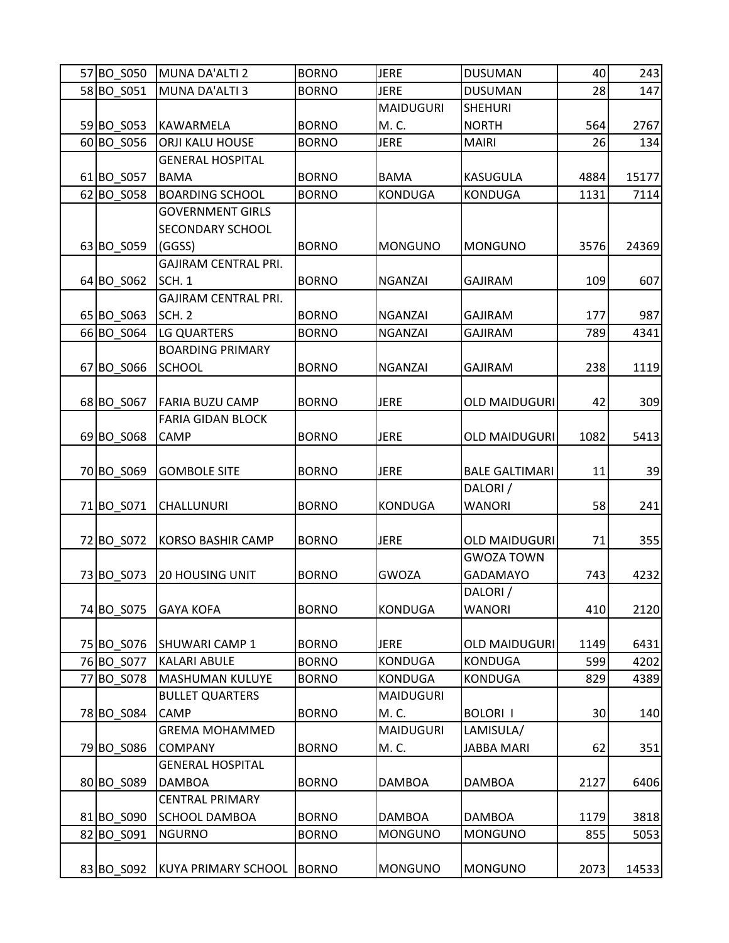| 57 BO S050 | MUNA DA'ALTI 2              | <b>BORNO</b> | <b>JERE</b>      | <b>DUSUMAN</b>        | 40   | 243   |
|------------|-----------------------------|--------------|------------------|-----------------------|------|-------|
| 58 BO S051 | MUNA DA'ALTI 3              | <b>BORNO</b> | <b>JERE</b>      | <b>DUSUMAN</b>        | 28   | 147   |
|            |                             |              | <b>MAIDUGURI</b> | <b>SHEHURI</b>        |      |       |
| 59 BO_S053 | KAWARMELA                   | <b>BORNO</b> | M. C.            | <b>NORTH</b>          | 564  | 2767  |
| 60 BO S056 | <b>ORJI KALU HOUSE</b>      | <b>BORNO</b> | <b>JERE</b>      | <b>MAIRI</b>          | 26   | 134   |
|            | <b>GENERAL HOSPITAL</b>     |              |                  |                       |      |       |
| 61 BO_S057 | <b>BAMA</b>                 | <b>BORNO</b> | <b>BAMA</b>      | <b>KASUGULA</b>       | 4884 | 15177 |
| 62 BO_S058 | <b>BOARDING SCHOOL</b>      | <b>BORNO</b> | <b>KONDUGA</b>   | <b>KONDUGA</b>        | 1131 | 7114  |
|            | <b>GOVERNMENT GIRLS</b>     |              |                  |                       |      |       |
|            | <b>SECONDARY SCHOOL</b>     |              |                  |                       |      |       |
| 63 BO_S059 | (GGSS)                      | <b>BORNO</b> | <b>MONGUNO</b>   | <b>MONGUNO</b>        | 3576 | 24369 |
|            | GAJIRAM CENTRAL PRI.        |              |                  |                       |      |       |
| 64 BO_S062 | SCH. 1                      | <b>BORNO</b> | <b>NGANZAI</b>   | <b>GAJIRAM</b>        | 109  | 607   |
|            | <b>GAJIRAM CENTRAL PRI.</b> |              |                  |                       |      |       |
| 65 BO_S063 | SCH. 2                      | <b>BORNO</b> | <b>NGANZAI</b>   | <b>GAJIRAM</b>        | 177  | 987   |
| 66 BO S064 | <b>LG QUARTERS</b>          | <b>BORNO</b> | <b>NGANZAI</b>   | <b>GAJIRAM</b>        | 789  | 4341  |
|            | <b>BOARDING PRIMARY</b>     |              |                  |                       |      |       |
| 67 BO_S066 | <b>SCHOOL</b>               | <b>BORNO</b> | <b>NGANZAI</b>   | <b>GAJIRAM</b>        | 238  | 1119  |
|            |                             |              |                  |                       |      |       |
| 68 BO S067 | <b>FARIA BUZU CAMP</b>      | <b>BORNO</b> | <b>JERE</b>      | <b>OLD MAIDUGURI</b>  | 42   | 309   |
|            | <b>FARIA GIDAN BLOCK</b>    |              |                  |                       |      |       |
| 69 BO_S068 | CAMP                        | <b>BORNO</b> | <b>JERE</b>      | <b>OLD MAIDUGURI</b>  | 1082 | 5413  |
|            |                             |              |                  |                       |      |       |
| 70 BO S069 | <b>GOMBOLE SITE</b>         | <b>BORNO</b> | <b>JERE</b>      | <b>BALE GALTIMARI</b> | 11   | 39    |
|            |                             |              |                  | DALORI/               |      |       |
| 71 BO S071 | <b>CHALLUNURI</b>           | <b>BORNO</b> | <b>KONDUGA</b>   | <b>WANORI</b>         | 58   | 241   |
|            |                             |              |                  |                       |      |       |
| 72 BO S072 | KORSO BASHIR CAMP           | <b>BORNO</b> | <b>JERE</b>      | <b>OLD MAIDUGURI</b>  | 71   | 355   |
|            |                             |              |                  | <b>GWOZA TOWN</b>     |      |       |
| 73 BO_S073 | 20 HOUSING UNIT             | <b>BORNO</b> | <b>GWOZA</b>     | <b>GADAMAYO</b>       | 743  | 4232  |
|            |                             |              |                  | DALORI/               |      |       |
| 74 BO S075 | <b>GAYA KOFA</b>            | <b>BORNO</b> | <b>KONDUGA</b>   | <b>WANORI</b>         | 410  | 2120  |
|            |                             |              |                  |                       |      |       |
| 75 BO S076 | <b>SHUWARI CAMP 1</b>       | <b>BORNO</b> | <b>JERE</b>      | <b>OLD MAIDUGURI</b>  | 1149 | 6431  |
| 76 BO S077 | <b>KALARI ABULE</b>         | <b>BORNO</b> | <b>KONDUGA</b>   | <b>KONDUGA</b>        | 599  | 4202  |
| 77 BO_S078 | <b>MASHUMAN KULUYE</b>      | <b>BORNO</b> | <b>KONDUGA</b>   | <b>KONDUGA</b>        | 829  | 4389  |
|            | <b>BULLET QUARTERS</b>      |              | <b>MAIDUGURI</b> |                       |      |       |
| 78 BO S084 | CAMP                        | <b>BORNO</b> | M. C.            | <b>BOLORI I</b>       | 30   | 140   |
|            | <b>GREMA MOHAMMED</b>       |              | <b>MAIDUGURI</b> | LAMISULA/             |      |       |
| 79 BO_S086 | <b>COMPANY</b>              | <b>BORNO</b> | M. C.            | <b>JABBA MARI</b>     | 62   | 351   |
|            | <b>GENERAL HOSPITAL</b>     |              |                  |                       |      |       |
| 80 BO S089 | <b>DAMBOA</b>               | <b>BORNO</b> | <b>DAMBOA</b>    | <b>DAMBOA</b>         | 2127 | 6406  |
|            | <b>CENTRAL PRIMARY</b>      |              |                  |                       |      |       |
| 81 BO_S090 | <b>SCHOOL DAMBOA</b>        | <b>BORNO</b> | <b>DAMBOA</b>    | <b>DAMBOA</b>         | 1179 | 3818  |
| 82 BO S091 | <b>NGURNO</b>               | <b>BORNO</b> | <b>MONGUNO</b>   | <b>MONGUNO</b>        | 855  | 5053  |
|            |                             |              |                  |                       |      |       |
| 83 BO_S092 | KUYA PRIMARY SCHOOL         | <b>BORNO</b> | <b>MONGUNO</b>   | <b>MONGUNO</b>        | 2073 | 14533 |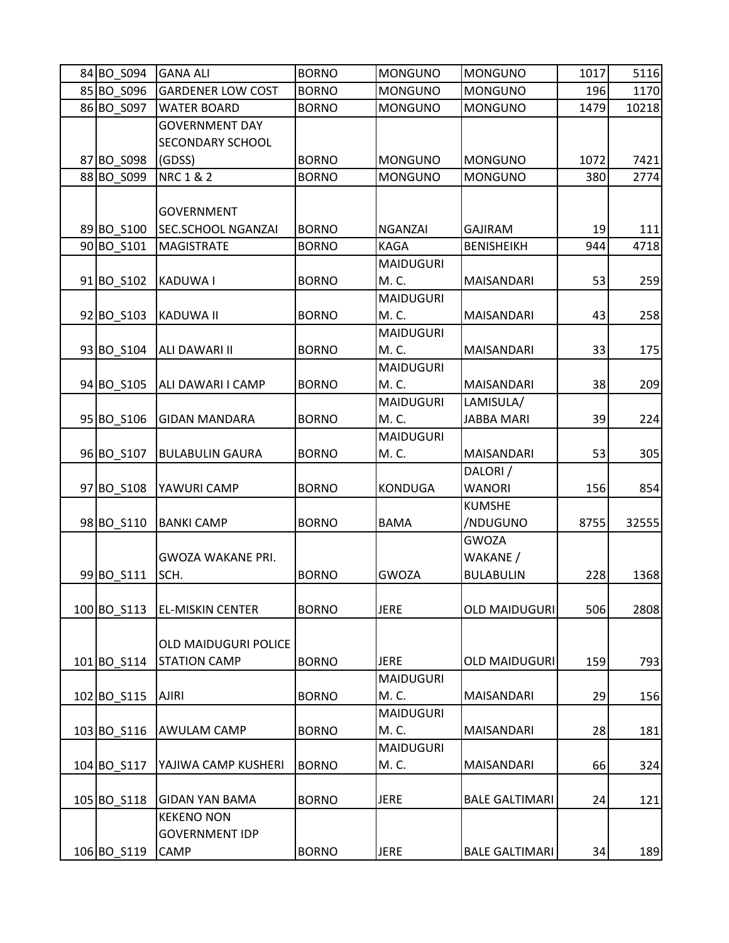| 84 BO S094  | <b>GANA ALI</b>             | <b>BORNO</b> | <b>MONGUNO</b>   | <b>MONGUNO</b>        | 1017 | 5116  |
|-------------|-----------------------------|--------------|------------------|-----------------------|------|-------|
| 85 BO S096  | <b>GARDENER LOW COST</b>    | <b>BORNO</b> | <b>MONGUNO</b>   | <b>MONGUNO</b>        | 196  | 1170  |
| 86 BO_S097  | <b>WATER BOARD</b>          | <b>BORNO</b> | <b>MONGUNO</b>   | <b>MONGUNO</b>        | 1479 | 10218 |
|             | <b>GOVERNMENT DAY</b>       |              |                  |                       |      |       |
|             | <b>SECONDARY SCHOOL</b>     |              |                  |                       |      |       |
| 87 BO_S098  | (GDSS)                      | <b>BORNO</b> | <b>MONGUNO</b>   | <b>MONGUNO</b>        | 1072 | 7421  |
| 88 BO_S099  | <b>NRC 1 &amp; 2</b>        | <b>BORNO</b> | <b>MONGUNO</b>   | <b>MONGUNO</b>        | 380  | 2774  |
|             |                             |              |                  |                       |      |       |
|             | <b>GOVERNMENT</b>           |              |                  |                       |      |       |
| 89 BO_S100  | <b>SEC.SCHOOL NGANZAI</b>   | <b>BORNO</b> | <b>NGANZAI</b>   | <b>GAJIRAM</b>        | 19   | 111   |
| 90 BO S101  | <b>MAGISTRATE</b>           | <b>BORNO</b> | <b>KAGA</b>      | <b>BENISHEIKH</b>     | 944  | 4718  |
|             |                             |              | <b>MAIDUGURI</b> |                       |      |       |
| 91 BO_S102  | <b>KADUWA I</b>             | <b>BORNO</b> | M. C.            | MAISANDARI            | 53   | 259   |
|             |                             |              | <b>MAIDUGURI</b> |                       |      |       |
| 92 BO S103  | KADUWA II                   | <b>BORNO</b> | M. C.            | MAISANDARI            | 43   | 258   |
|             |                             |              | <b>MAIDUGURI</b> |                       |      |       |
| 93 BO S104  | ALI DAWARI II               | <b>BORNO</b> | M. C.            | MAISANDARI            | 33   | 175   |
|             |                             |              | <b>MAIDUGURI</b> |                       |      |       |
| 94 BO_S105  | ALI DAWARI I CAMP           | <b>BORNO</b> | M. C.            | <b>MAISANDARI</b>     | 38   | 209   |
|             |                             |              | <b>MAIDUGURI</b> | LAMISULA/             |      |       |
| 95 BO S106  | <b>GIDAN MANDARA</b>        | <b>BORNO</b> | M. C.            | <b>JABBA MARI</b>     | 39   | 224   |
|             |                             |              | <b>MAIDUGURI</b> |                       |      |       |
| 96 BO S107  | <b>BULABULIN GAURA</b>      | <b>BORNO</b> | M. C.            | <b>MAISANDARI</b>     | 53   | 305   |
|             |                             |              |                  | DALORI/               |      |       |
| 97 BO_S108  | YAWURI CAMP                 | <b>BORNO</b> | <b>KONDUGA</b>   | <b>WANORI</b>         | 156  | 854   |
|             |                             |              |                  | <b>KUMSHE</b>         |      |       |
| 98 BO_S110  | <b>BANKI CAMP</b>           | <b>BORNO</b> | <b>BAMA</b>      | /NDUGUNO              | 8755 | 32555 |
|             |                             |              |                  | <b>GWOZA</b>          |      |       |
|             | <b>GWOZA WAKANE PRI.</b>    |              |                  | WAKANE /              |      |       |
| 99 BO S111  | SCH.                        | <b>BORNO</b> | <b>GWOZA</b>     | <b>BULABULIN</b>      | 228  | 1368  |
|             |                             |              |                  |                       |      |       |
| 100 BO_S113 | <b>EL-MISKIN CENTER</b>     | <b>BORNO</b> | <b>JERE</b>      | <b>OLD MAIDUGURI</b>  | 506  | 2808  |
|             |                             |              |                  |                       |      |       |
|             | <b>OLD MAIDUGURI POLICE</b> |              |                  |                       |      |       |
| 101 BO S114 | <b>STATION CAMP</b>         | <b>BORNO</b> | <b>JERE</b>      | <b>OLD MAIDUGURI</b>  | 159  | 793   |
|             |                             |              | <b>MAIDUGURI</b> |                       |      |       |
| 102 BO_S115 | <b>AJIRI</b>                | <b>BORNO</b> | M. C.            | MAISANDARI            | 29   | 156   |
|             |                             |              | <b>MAIDUGURI</b> |                       |      |       |
| 103 BO_S116 | <b>AWULAM CAMP</b>          | <b>BORNO</b> | M. C.            | MAISANDARI            | 28   | 181   |
|             |                             |              | <b>MAIDUGURI</b> |                       |      |       |
| 104 BO S117 | YAJIWA CAMP KUSHERI         | <b>BORNO</b> | M. C.            | MAISANDARI            | 66   | 324   |
|             |                             |              |                  |                       |      |       |
| 105 BO_S118 | <b>GIDAN YAN BAMA</b>       | <b>BORNO</b> | <b>JERE</b>      | <b>BALE GALTIMARI</b> | 24   | 121   |
|             | <b>KEKENO NON</b>           |              |                  |                       |      |       |
|             | <b>GOVERNMENT IDP</b>       |              |                  |                       |      |       |
| 106 BO S119 | <b>CAMP</b>                 | <b>BORNO</b> | <b>JERE</b>      | <b>BALE GALTIMARI</b> | 34   | 189   |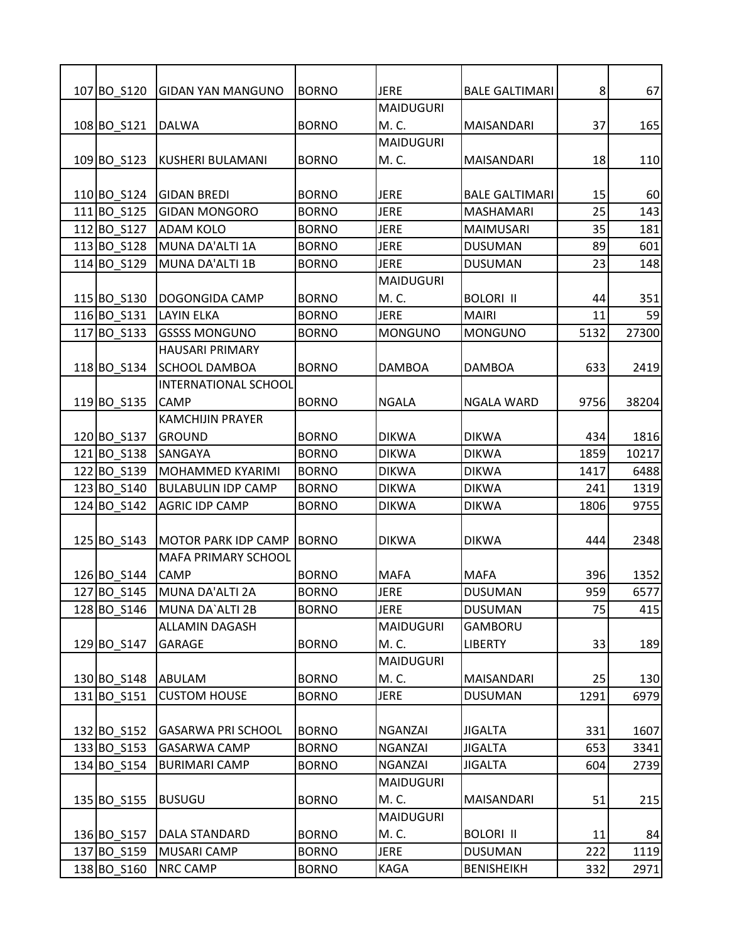| 107 BO S120 | <b>GIDAN YAN MANGUNO</b>    | <b>BORNO</b> | <b>JERE</b>      | <b>BALE GALTIMARI</b> | 8    | 67    |
|-------------|-----------------------------|--------------|------------------|-----------------------|------|-------|
|             |                             |              | <b>MAIDUGURI</b> |                       |      |       |
| 108 BO_S121 | <b>DALWA</b>                | <b>BORNO</b> | M. C.            | MAISANDARI            | 37   | 165   |
|             |                             |              | <b>MAIDUGURI</b> |                       |      |       |
| 109 BO S123 | KUSHERI BULAMANI            | <b>BORNO</b> | M. C.            | <b>MAISANDARI</b>     | 18   | 110   |
|             |                             |              |                  |                       |      |       |
| 110BO S124  | <b>GIDAN BREDI</b>          | <b>BORNO</b> | <b>JERE</b>      | <b>BALE GALTIMARI</b> | 15   | 60    |
| 111BO S125  | <b>GIDAN MONGORO</b>        | <b>BORNO</b> | <b>JERE</b>      | <b>MASHAMARI</b>      | 25   | 143   |
| 112 BO S127 | <b>ADAM KOLO</b>            | <b>BORNO</b> | <b>JERE</b>      | <b>MAIMUSARI</b>      | 35   | 181   |
| 113 BO S128 | MUNA DA'ALTI 1A             | <b>BORNO</b> | <b>JERE</b>      | <b>DUSUMAN</b>        | 89   | 601   |
| 114BO_S129  | MUNA DA'ALTI 1B             | <b>BORNO</b> | <b>JERE</b>      | <b>DUSUMAN</b>        | 23   | 148   |
|             |                             |              | <b>MAIDUGURI</b> |                       |      |       |
| 115 BO S130 | DOGONGIDA CAMP              | <b>BORNO</b> | M. C.            | <b>BOLORI II</b>      | 44   | 351   |
| 116 BO S131 | <b>LAYIN ELKA</b>           | <b>BORNO</b> | <b>JERE</b>      | <b>MAIRI</b>          | 11   | 59    |
| 117 BO_S133 | <b>GSSSS MONGUNO</b>        | <b>BORNO</b> | <b>MONGUNO</b>   | <b>MONGUNO</b>        | 5132 | 27300 |
|             | <b>HAUSARI PRIMARY</b>      |              |                  |                       |      |       |
| 118 BO_S134 | <b>SCHOOL DAMBOA</b>        | <b>BORNO</b> | <b>DAMBOA</b>    | <b>DAMBOA</b>         | 633  | 2419  |
|             | <b>INTERNATIONAL SCHOOL</b> |              |                  |                       |      |       |
| 119 BO S135 | <b>CAMP</b>                 | <b>BORNO</b> | <b>NGALA</b>     | <b>NGALA WARD</b>     | 9756 | 38204 |
|             | <b>KAMCHIJIN PRAYER</b>     |              |                  |                       |      |       |
| 120 BO_S137 | <b>GROUND</b>               | <b>BORNO</b> | <b>DIKWA</b>     | <b>DIKWA</b>          | 434  | 1816  |
| 121 BO S138 | SANGAYA                     | <b>BORNO</b> | <b>DIKWA</b>     | <b>DIKWA</b>          | 1859 | 10217 |
| 122 BO S139 | MOHAMMED KYARIMI            | <b>BORNO</b> | <b>DIKWA</b>     | <b>DIKWA</b>          | 1417 | 6488  |
| 123 BO S140 | <b>BULABULIN IDP CAMP</b>   | <b>BORNO</b> | <b>DIKWA</b>     | <b>DIKWA</b>          | 241  | 1319  |
| 124 BO S142 | <b>AGRIC IDP CAMP</b>       | <b>BORNO</b> | <b>DIKWA</b>     | <b>DIKWA</b>          | 1806 | 9755  |
|             |                             |              |                  |                       |      |       |
| 125 BO_S143 | <b>MOTOR PARK IDP CAMP</b>  | <b>BORNO</b> | <b>DIKWA</b>     | <b>DIKWA</b>          | 444  | 2348  |
|             | MAFA PRIMARY SCHOOL         |              |                  |                       |      |       |
| 126 BO_S144 | <b>CAMP</b>                 | <b>BORNO</b> | <b>MAFA</b>      | <b>MAFA</b>           | 396  | 1352  |
| 127 BO S145 | MUNA DA'ALTI 2A             | <b>BORNO</b> | <b>JERE</b>      | <b>DUSUMAN</b>        | 959  | 6577  |
| 128 BO S146 | MUNA DA`ALTI 2B             | <b>BORNO</b> | <b>JERE</b>      | <b>DUSUMAN</b>        | 75   | 415   |
|             | ALLAMIN DAGASH              |              | <b>MAIDUGURI</b> | GAMBORU               |      |       |
| 129 BO S147 | <b>GARAGE</b>               | <b>BORNO</b> | M. C.            | <b>LIBERTY</b>        | 33   | 189   |
|             |                             |              | <b>MAIDUGURI</b> |                       |      |       |
| 130 BO_S148 | ABULAM                      | <b>BORNO</b> | M. C.            | MAISANDARI            | 25   | 130   |
| 131 BO S151 | <b>CUSTOM HOUSE</b>         | <b>BORNO</b> | <b>JERE</b>      | <b>DUSUMAN</b>        | 1291 | 6979  |
|             |                             |              |                  |                       |      |       |
| 132 BO_S152 | <b>GASARWA PRI SCHOOL</b>   | <b>BORNO</b> | <b>NGANZAI</b>   | <b>JIGALTA</b>        | 331  | 1607  |
| 133 BO S153 | <b>GASARWA CAMP</b>         | <b>BORNO</b> | <b>NGANZAI</b>   | <b>JIGALTA</b>        | 653  | 3341  |
| 134 BO_S154 | <b>BURIMARI CAMP</b>        | <b>BORNO</b> | <b>NGANZAI</b>   | <b>JIGALTA</b>        | 604  | 2739  |
|             |                             |              | <b>MAIDUGURI</b> |                       |      |       |
| 135 BO_S155 | <b>BUSUGU</b>               | <b>BORNO</b> | M. C.            | MAISANDARI            | 51   | 215   |
|             |                             |              | <b>MAIDUGURI</b> |                       |      |       |
| 136 BO_S157 | DALA STANDARD               | <b>BORNO</b> | M. C.            | <b>BOLORI II</b>      | 11   | 84    |
| 137 BO S159 | MUSARI CAMP                 | <b>BORNO</b> | <b>JERE</b>      | <b>DUSUMAN</b>        | 222  | 1119  |
| 138 BO_S160 | NRC CAMP                    | <b>BORNO</b> | KAGA             | <b>BENISHEIKH</b>     | 332  | 2971  |
|             |                             |              |                  |                       |      |       |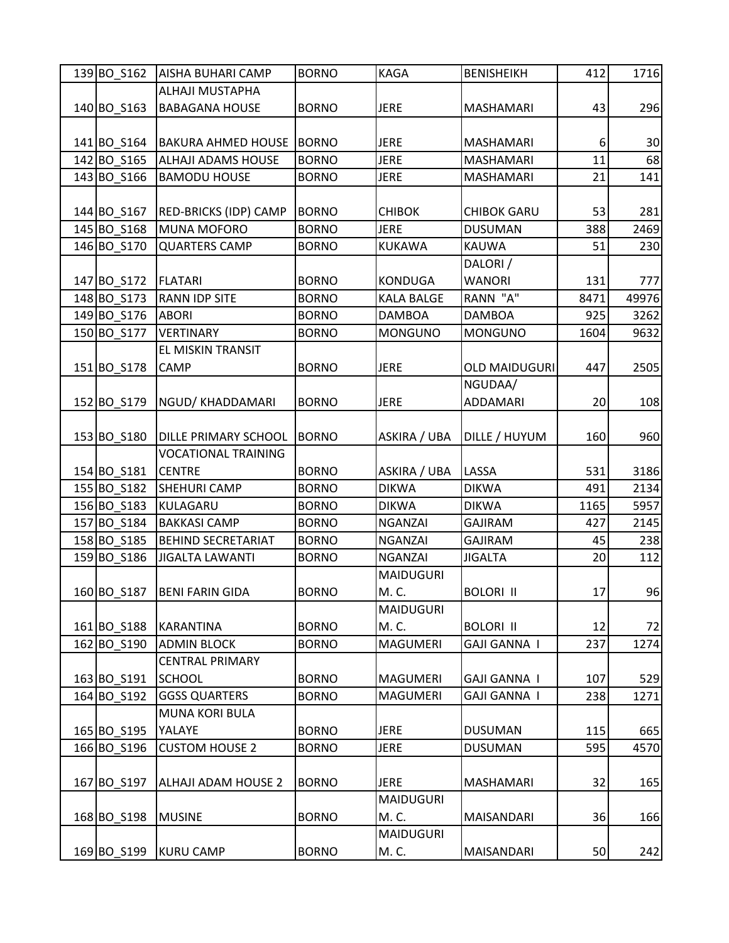| 139 BO S162  | <b>AISHA BUHARI CAMP</b>        | <b>BORNO</b> | <b>KAGA</b>       | <b>BENISHEIKH</b>    | 412  | 1716  |
|--------------|---------------------------------|--------------|-------------------|----------------------|------|-------|
|              | <b>ALHAJI MUSTAPHA</b>          |              |                   |                      |      |       |
| 140 BO_S163  | <b>BABAGANA HOUSE</b>           | <b>BORNO</b> | <b>JERE</b>       | MASHAMARI            | 43   | 296   |
|              |                                 |              |                   |                      |      |       |
| 141 BO S164  | <b>BAKURA AHMED HOUSE</b>       | <b>BORNO</b> | <b>JERE</b>       | MASHAMARI            | 6    | 30    |
| 142 BO S165  | <b>ALHAJI ADAMS HOUSE</b>       | <b>BORNO</b> | <b>JERE</b>       | <b>MASHAMARI</b>     | 11   | 68    |
| 143 BO S166  | <b>BAMODU HOUSE</b>             | <b>BORNO</b> | <b>JERE</b>       | <b>MASHAMARI</b>     | 21   | 141   |
|              |                                 |              |                   |                      |      |       |
| 144 BO_S167  | <b>RED-BRICKS (IDP) CAMP</b>    | <b>BORNO</b> | <b>CHIBOK</b>     | <b>CHIBOK GARU</b>   | 53   | 281   |
| 145 BO S168  | <b>MUNA MOFORO</b>              | <b>BORNO</b> | <b>JERE</b>       | <b>DUSUMAN</b>       | 388  | 2469  |
| 146 BO_S170  | <b>QUARTERS CAMP</b>            | <b>BORNO</b> | <b>KUKAWA</b>     | <b>KAUWA</b>         | 51   | 230   |
|              |                                 |              |                   | DALORI/              |      |       |
| 147 BO_S172  | FLATARI                         | <b>BORNO</b> | <b>KONDUGA</b>    | <b>WANORI</b>        | 131  | 777   |
| 148 BO S173  | <b>RANN IDP SITE</b>            | <b>BORNO</b> | <b>KALA BALGE</b> | RANN "A"             | 8471 | 49976 |
| 149 BO S176  | <b>ABORI</b>                    | <b>BORNO</b> | <b>DAMBOA</b>     | <b>DAMBOA</b>        | 925  | 3262  |
| 150 BO_S177  | <b>VERTINARY</b>                | <b>BORNO</b> | <b>MONGUNO</b>    | MONGUNO              | 1604 | 9632  |
|              | EL MISKIN TRANSIT               |              |                   |                      |      |       |
| 151 BO_S178  | CAMP                            | <b>BORNO</b> | <b>JERE</b>       | <b>OLD MAIDUGURI</b> | 447  | 2505  |
|              |                                 |              |                   | NGUDAA/              |      |       |
| 152 BO S179  | NGUD/ KHADDAMARI                | <b>BORNO</b> | <b>JERE</b>       | <b>ADDAMARI</b>      | 20   | 108   |
|              |                                 |              |                   |                      |      |       |
| 153 BO_S180  | <b>DILLE PRIMARY SCHOOL</b>     | <b>BORNO</b> | ASKIRA / UBA      | DILLE / HUYUM        | 160  | 960   |
|              | <b>VOCATIONAL TRAINING</b>      |              |                   |                      |      |       |
| 154 BO_S181  | <b>CENTRE</b>                   | <b>BORNO</b> | ASKIRA / UBA      | <b>LASSA</b>         | 531  | 3186  |
| 155 BO S182  | <b>SHEHURI CAMP</b>             | <b>BORNO</b> | <b>DIKWA</b>      | <b>DIKWA</b>         | 491  | 2134  |
| 156 BO S183  | KULAGARU                        | <b>BORNO</b> | <b>DIKWA</b>      | <b>DIKWA</b>         | 1165 | 5957  |
| 157 BO S184  | <b>BAKKASI CAMP</b>             | <b>BORNO</b> | <b>NGANZAI</b>    | <b>GAJIRAM</b>       | 427  | 2145  |
| 158 BO S185  | <b>BEHIND SECRETARIAT</b>       | <b>BORNO</b> | <b>NGANZAI</b>    | <b>GAJIRAM</b>       | 45   | 238   |
| 159 BO S186  | <b>JIGALTA LAWANTI</b>          | <b>BORNO</b> | <b>NGANZAI</b>    | <b>JIGALTA</b>       | 20   | 112   |
|              |                                 |              | <b>MAIDUGURI</b>  |                      |      |       |
| 160 BO \$187 | <b>BENI FARIN GIDA</b>          | <b>BORNO</b> | M. C.             | <b>BOLORI II</b>     | 17   | 96    |
|              |                                 |              | <b>MAIDUGURI</b>  |                      |      |       |
| 161 BO_S188  | <b>KARANTINA</b>                | <b>BORNO</b> | M. C.             | <b>BOLORI II</b>     | 12   | 72    |
| 162 BO S190  | <b>ADMIN BLOCK</b>              | <b>BORNO</b> | <b>MAGUMERI</b>   | <b>GAJI GANNA I</b>  | 237  | 1274  |
|              | <b>CENTRAL PRIMARY</b>          |              |                   |                      |      |       |
| 163 BO_S191  | <b>SCHOOL</b>                   | <b>BORNO</b> | <b>MAGUMERI</b>   | <b>GAJI GANNA I</b>  | 107  | 529   |
| 164 BO S192  | <b>GGSS QUARTERS</b>            | <b>BORNO</b> | <b>MAGUMERI</b>   | <b>GAJI GANNA I</b>  | 238  | 1271  |
|              |                                 |              |                   |                      |      |       |
|              | <b>MUNA KORI BULA</b><br>YALAYE |              |                   |                      |      |       |
| 165 BO_S195  |                                 | <b>BORNO</b> | <b>JERE</b>       | <b>DUSUMAN</b>       | 115  | 665   |
| 166 BO S196  | <b>CUSTOM HOUSE 2</b>           | <b>BORNO</b> | <b>JERE</b>       | <b>DUSUMAN</b>       | 595  | 4570  |
|              |                                 |              |                   |                      |      |       |
| 167 BO S197  | <b>ALHAJI ADAM HOUSE 2</b>      | <b>BORNO</b> | <b>JERE</b>       | <b>MASHAMARI</b>     | 32   | 165   |
|              |                                 |              | <b>MAIDUGURI</b>  |                      |      |       |
| 168 BO S198  | <b>MUSINE</b>                   | <b>BORNO</b> | M. C.             | MAISANDARI           | 36   | 166   |
|              |                                 |              | <b>MAIDUGURI</b>  |                      |      |       |
| 169 BO_S199  | <b>KURU CAMP</b>                | <b>BORNO</b> | M. C.             | MAISANDARI           | 50   | 242   |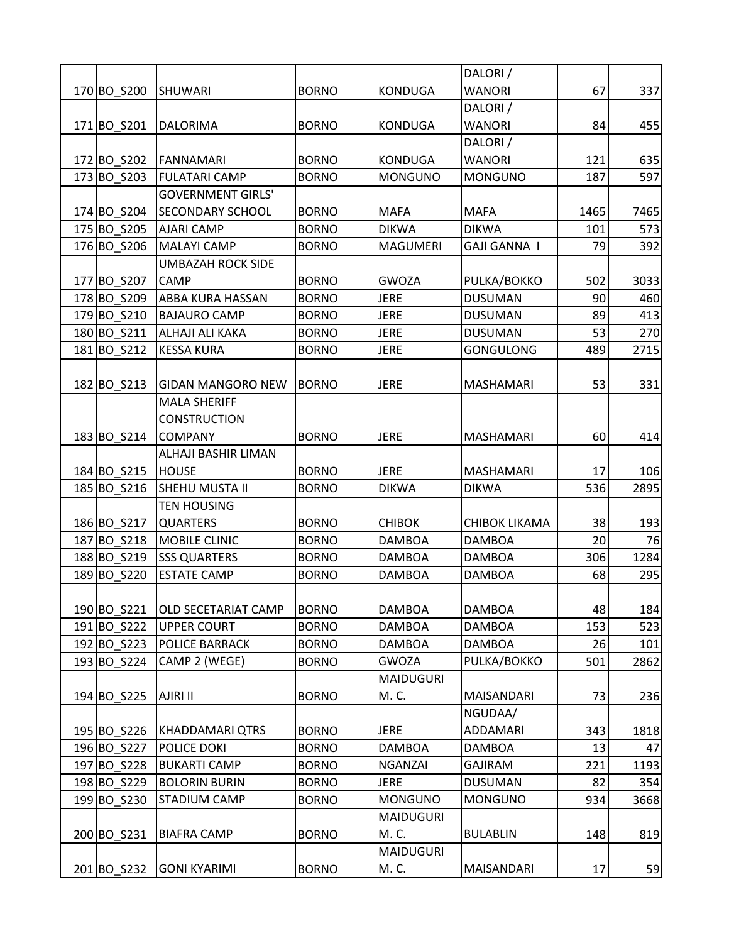|             |                            |              |                  | DALORI/              |      |      |
|-------------|----------------------------|--------------|------------------|----------------------|------|------|
| 170 BO S200 | SHUWARI                    | <b>BORNO</b> | <b>KONDUGA</b>   | <b>WANORI</b>        | 67   | 337  |
|             |                            |              |                  | DALORI/              |      |      |
| 171 BO_S201 | DALORIMA                   | <b>BORNO</b> | <b>KONDUGA</b>   | <b>WANORI</b>        | 84   | 455  |
|             |                            |              |                  | DALORI/              |      |      |
| 172 BO_S202 | FANNAMARI                  | <b>BORNO</b> | <b>KONDUGA</b>   | <b>WANORI</b>        | 121  | 635  |
| 173 BO S203 | <b>FULATARI CAMP</b>       | <b>BORNO</b> | <b>MONGUNO</b>   | <b>MONGUNO</b>       | 187  | 597  |
|             | <b>GOVERNMENT GIRLS'</b>   |              |                  |                      |      |      |
| 174 BO S204 | <b>SECONDARY SCHOOL</b>    | <b>BORNO</b> | <b>MAFA</b>      | <b>MAFA</b>          | 1465 | 7465 |
| 175 BO S205 | <b>AJARI CAMP</b>          | <b>BORNO</b> | <b>DIKWA</b>     | <b>DIKWA</b>         | 101  | 573  |
| 176 BO_S206 | <b>MALAYI CAMP</b>         | <b>BORNO</b> | <b>MAGUMERI</b>  | <b>GAJI GANNA I</b>  | 79   | 392  |
|             | <b>UMBAZAH ROCK SIDE</b>   |              |                  |                      |      |      |
| 177 BO_S207 | <b>CAMP</b>                | <b>BORNO</b> | <b>GWOZA</b>     | PULKA/BOKKO          | 502  | 3033 |
| 178 BO S209 | <b>ABBA KURA HASSAN</b>    | <b>BORNO</b> | <b>JERE</b>      | <b>DUSUMAN</b>       | 90   | 460  |
| 179 BO S210 | <b>BAJAURO CAMP</b>        | <b>BORNO</b> | <b>JERE</b>      | <b>DUSUMAN</b>       | 89   | 413  |
| 180 BO_S211 | <b>ALHAJI ALI KAKA</b>     | <b>BORNO</b> | <b>JERE</b>      | <b>DUSUMAN</b>       | 53   | 270  |
| 181 BO_S212 | <b>KESSA KURA</b>          | <b>BORNO</b> | <b>JERE</b>      | <b>GONGULONG</b>     | 489  | 2715 |
|             |                            |              |                  |                      |      |      |
| 182 BO_S213 | <b>GIDAN MANGORO NEW</b>   | <b>BORNO</b> | <b>JERE</b>      | <b>MASHAMARI</b>     | 53   | 331  |
|             | <b>MALA SHERIFF</b>        |              |                  |                      |      |      |
|             | <b>CONSTRUCTION</b>        |              |                  |                      |      |      |
| 183 BO_S214 | <b>COMPANY</b>             | <b>BORNO</b> | <b>JERE</b>      | <b>MASHAMARI</b>     | 60   | 414  |
|             | ALHAJI BASHIR LIMAN        |              |                  |                      |      |      |
| 184 BO_S215 | <b>HOUSE</b>               | <b>BORNO</b> | <b>JERE</b>      | MASHAMARI            | 17   | 106  |
| 185 BO_S216 | <b>SHEHU MUSTA II</b>      | <b>BORNO</b> | <b>DIKWA</b>     | <b>DIKWA</b>         | 536  | 2895 |
|             | <b>TEN HOUSING</b>         |              |                  |                      |      |      |
| 186 BO S217 | <b>QUARTERS</b>            | <b>BORNO</b> | <b>CHIBOK</b>    | <b>CHIBOK LIKAMA</b> | 38   | 193  |
| 187 BO_S218 | MOBILE CLINIC              | <b>BORNO</b> | <b>DAMBOA</b>    | <b>DAMBOA</b>        | 20   | 76   |
| 188 BO S219 | <b>SSS QUARTERS</b>        | <b>BORNO</b> | <b>DAMBOA</b>    | <b>DAMBOA</b>        | 306  | 1284 |
| 189 BO_S220 | <b>ESTATE CAMP</b>         | <b>BORNO</b> | <b>DAMBOA</b>    | <b>DAMBOA</b>        | 68   | 295  |
|             |                            |              |                  |                      |      |      |
| 190 BO S221 | <b>OLD SECETARIAT CAMP</b> | <b>BORNO</b> | <b>DAMBOA</b>    | <b>DAMBOA</b>        | 48   | 184  |
| 191 BO S222 | <b>UPPER COURT</b>         | <b>BORNO</b> | <b>DAMBOA</b>    | <b>DAMBOA</b>        | 153  | 523  |
| 192 BO_S223 | POLICE BARRACK             | <b>BORNO</b> | <b>DAMBOA</b>    | <b>DAMBOA</b>        | 26   | 101  |
| 193 BO_S224 | CAMP 2 (WEGE)              | <b>BORNO</b> | <b>GWOZA</b>     | PULKA/BOKKO          | 501  | 2862 |
|             |                            |              | <b>MAIDUGURI</b> |                      |      |      |
| 194 BO S225 | <b>AJIRI II</b>            | <b>BORNO</b> | M. C.            | MAISANDARI           | 73   | 236  |
|             |                            |              |                  | NGUDAA/              |      |      |
| 195 BO_S226 | <b>KHADDAMARI QTRS</b>     | <b>BORNO</b> | <b>JERE</b>      | <b>ADDAMARI</b>      | 343  | 1818 |
| 196 BO S227 | <b>POLICE DOKI</b>         | <b>BORNO</b> | <b>DAMBOA</b>    | <b>DAMBOA</b>        | 13   | 47   |
| 197 BO_S228 | <b>BUKARTI CAMP</b>        | <b>BORNO</b> | <b>NGANZAI</b>   | GAJIRAM              | 221  | 1193 |
| 198 BO_S229 | <b>BOLORIN BURIN</b>       | <b>BORNO</b> | <b>JERE</b>      | <b>DUSUMAN</b>       | 82   | 354  |
| 199 BO_S230 | <b>STADIUM CAMP</b>        | <b>BORNO</b> | <b>MONGUNO</b>   | <b>MONGUNO</b>       | 934  | 3668 |
|             |                            |              | <b>MAIDUGURI</b> |                      |      |      |
| 200 BO_S231 | <b>BIAFRA CAMP</b>         | <b>BORNO</b> | M. C.            | <b>BULABLIN</b>      | 148  | 819  |
|             |                            |              | <b>MAIDUGURI</b> |                      |      |      |
| 201BO_S232  | <b>GONI KYARIMI</b>        | <b>BORNO</b> | M. C.            | MAISANDARI           | 17   | 59   |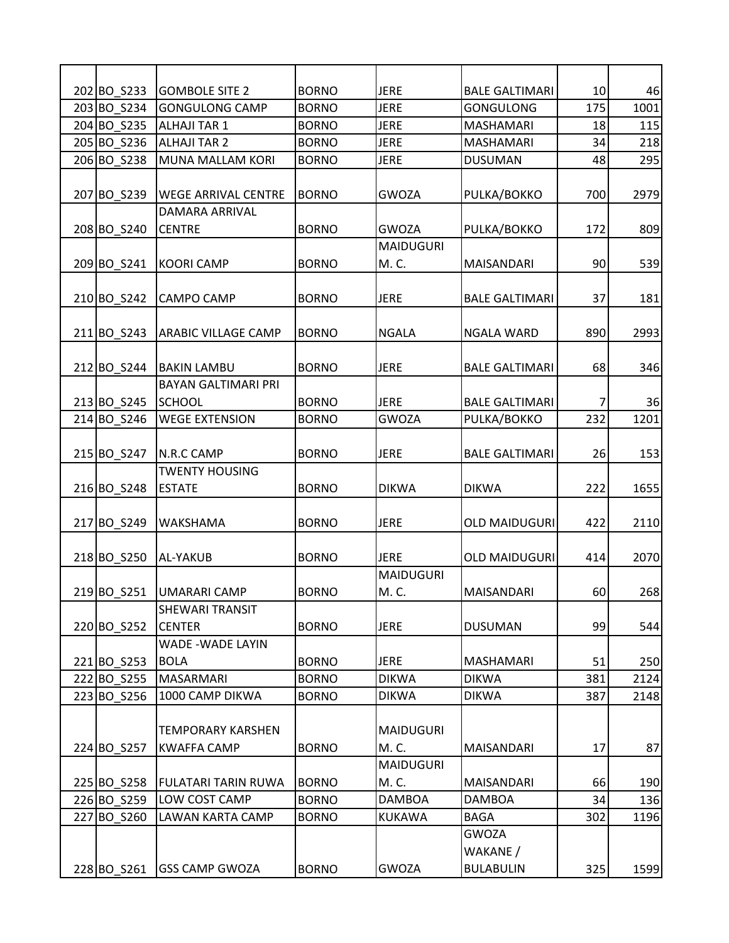| 202 BO S233 | <b>GOMBOLE SITE 2</b>      | <b>BORNO</b> | <b>JERE</b>      | <b>BALE GALTIMARI</b> | 10  | 46   |
|-------------|----------------------------|--------------|------------------|-----------------------|-----|------|
| 203 BO_S234 | <b>GONGULONG CAMP</b>      | <b>BORNO</b> | <b>JERE</b>      | <b>GONGULONG</b>      | 175 | 1001 |
| 204 BO_S235 | <b>ALHAJI TAR 1</b>        | <b>BORNO</b> | <b>JERE</b>      | <b>MASHAMARI</b>      | 18  | 115  |
| 205 BO_S236 | <b>ALHAJI TAR 2</b>        | <b>BORNO</b> | <b>JERE</b>      | MASHAMARI             | 34  | 218  |
| 206 BO_S238 | MUNA MALLAM KORI           | <b>BORNO</b> | <b>JERE</b>      | <b>DUSUMAN</b>        | 48  | 295  |
|             |                            |              |                  |                       |     |      |
| 207 BO_S239 | <b>WEGE ARRIVAL CENTRE</b> | <b>BORNO</b> | <b>GWOZA</b>     | PULKA/BOKKO           | 700 | 2979 |
|             | <b>DAMARA ARRIVAL</b>      |              |                  |                       |     |      |
| 208 BO_S240 | <b>CENTRE</b>              | <b>BORNO</b> | <b>GWOZA</b>     | PULKA/BOKKO           | 172 | 809  |
|             |                            |              | <b>MAIDUGURI</b> |                       |     |      |
| 209 BO S241 | <b>KOORI CAMP</b>          | <b>BORNO</b> | M. C.            | MAISANDARI            | 90  | 539  |
|             |                            |              |                  |                       |     |      |
| 210 BO_S242 | <b>CAMPO CAMP</b>          | <b>BORNO</b> | <b>JERE</b>      | <b>BALE GALTIMARI</b> | 37  | 181  |
|             |                            |              |                  |                       |     |      |
| 211BO_S243  | <b>ARABIC VILLAGE CAMP</b> | <b>BORNO</b> | <b>NGALA</b>     | <b>NGALA WARD</b>     | 890 | 2993 |
|             |                            |              |                  |                       |     |      |
| 212 BO_S244 | <b>BAKIN LAMBU</b>         | <b>BORNO</b> | <b>JERE</b>      | <b>BALE GALTIMARI</b> | 68  | 346  |
|             | <b>BAYAN GALTIMARI PRI</b> |              |                  |                       |     |      |
| 213 BO S245 | <b>SCHOOL</b>              | <b>BORNO</b> | <b>JERE</b>      | <b>BALE GALTIMARI</b> | 7   | 36   |
| 214 BO_S246 | <b>WEGE EXTENSION</b>      | <b>BORNO</b> | <b>GWOZA</b>     | PULKA/BOKKO           | 232 | 1201 |
|             |                            |              |                  |                       |     |      |
| 215 BO_S247 | N.R.C CAMP                 | <b>BORNO</b> | <b>JERE</b>      | <b>BALE GALTIMARI</b> | 26  | 153  |
|             | <b>TWENTY HOUSING</b>      |              |                  |                       |     |      |
| 216 BO_S248 | <b>ESTATE</b>              | <b>BORNO</b> | <b>DIKWA</b>     | <b>DIKWA</b>          | 222 | 1655 |
|             |                            |              |                  |                       |     |      |
| 217 BO_S249 | WAKSHAMA                   | <b>BORNO</b> | <b>JERE</b>      | <b>OLD MAIDUGURI</b>  | 422 | 2110 |
|             |                            |              |                  |                       |     |      |
| 218BO_S250  | <b>AL-YAKUB</b>            | <b>BORNO</b> | <b>JERE</b>      | <b>OLD MAIDUGURI</b>  | 414 | 2070 |
|             |                            |              | <b>MAIDUGURI</b> |                       |     |      |
| 219BO S251  | <b>UMARARI CAMP</b>        | <b>BORNO</b> | M. C.            | <b>MAISANDARI</b>     | 60  | 268  |
|             | <b>SHEWARI TRANSIT</b>     |              |                  |                       |     |      |
| 220 BO S252 | <b>CENTER</b>              | <b>BORNO</b> | <b>JERE</b>      | <b>DUSUMAN</b>        | 99  | 544  |
|             | <b>WADE - WADE LAYIN</b>   |              |                  |                       |     |      |
| 221 BO S253 | <b>BOLA</b>                | <b>BORNO</b> | <b>JERE</b>      | MASHAMARI             | 51  | 250  |
| 222 BO_S255 | <b>MASARMARI</b>           | <b>BORNO</b> | <b>DIKWA</b>     | <b>DIKWA</b>          | 381 | 2124 |
| 223 BO S256 | 1000 CAMP DIKWA            | <b>BORNO</b> | <b>DIKWA</b>     | <b>DIKWA</b>          | 387 | 2148 |
|             |                            |              |                  |                       |     |      |
|             | <b>TEMPORARY KARSHEN</b>   |              | <b>MAIDUGURI</b> |                       |     |      |
| 224 BO S257 | <b>KWAFFA CAMP</b>         | <b>BORNO</b> | M. C.            | MAISANDARI            | 17  | 87   |
|             |                            |              | <b>MAIDUGURI</b> |                       |     |      |
| 225 BO_S258 | <b>FULATARI TARIN RUWA</b> | <b>BORNO</b> | M. C.            | MAISANDARI            | 66  | 190  |
| 226 BO S259 | LOW COST CAMP              | <b>BORNO</b> | <b>DAMBOA</b>    | <b>DAMBOA</b>         | 34  | 136  |
| 227 BO S260 | LAWAN KARTA CAMP           | <b>BORNO</b> | <b>KUKAWA</b>    | BAGA                  | 302 | 1196 |
|             |                            |              |                  | <b>GWOZA</b>          |     |      |
|             |                            |              |                  | WAKANE /              |     |      |
| 228BO_S261  | <b>GSS CAMP GWOZA</b>      | <b>BORNO</b> | <b>GWOZA</b>     | <b>BULABULIN</b>      | 325 | 1599 |